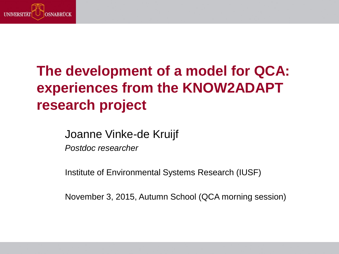

# **The development of a model for QCA: experiences from the KNOW2ADAPT research project**

Joanne Vinke-de Kruijf

*Postdoc researcher*

Institute of Environmental Systems Research (IUSF)

November 3, 2015, Autumn School (QCA morning session)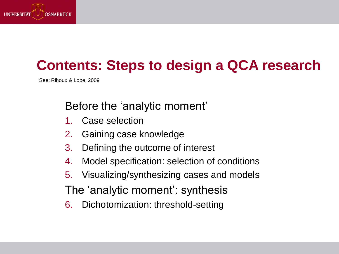

## **Contents: Steps to design a QCA research**

See: Rihoux & Lobe, 2009

Before the 'analytic moment'

- 1. Case selection
- 2. Gaining case knowledge
- 3. Defining the outcome of interest
- 4. Model specification: selection of conditions
- 5. Visualizing/synthesizing cases and models

The 'analytic moment': synthesis

6. Dichotomization: threshold-setting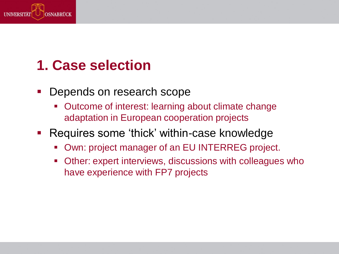

## **1. Case selection**

- **-** Depends on research scope
	- Outcome of interest: learning about climate change adaptation in European cooperation projects
- Requires some 'thick' within-case knowledge
	- Own: project manager of an EU INTERREG project.
	- Other: expert interviews, discussions with colleagues who have experience with FP7 projects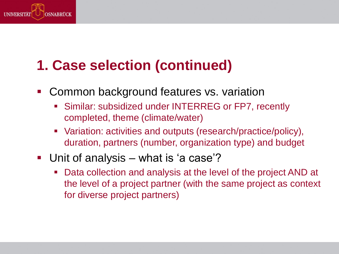

# **1. Case selection (continued)**

- **Common background features vs. variation** 
	- Similar: subsidized under INTERREG or FP7, recently completed, theme (climate/water)
	- Variation: activities and outputs (research/practice/policy), duration, partners (number, organization type) and budget
- Unit of analysis what is 'a case'?
	- Data collection and analysis at the level of the project AND at the level of a project partner (with the same project as context for diverse project partners)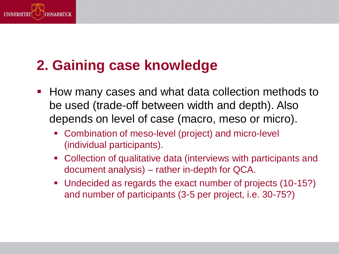

# **2. Gaining case knowledge**

- **How many cases and what data collection methods to** be used (trade-off between width and depth). Also depends on level of case (macro, meso or micro).
	- Combination of meso-level (project) and micro-level (individual participants).
	- Collection of qualitative data (interviews with participants and document analysis) – rather in-depth for QCA.
	- Undecided as regards the exact number of projects (10-15?) and number of participants (3-5 per project, i.e. 30-75?)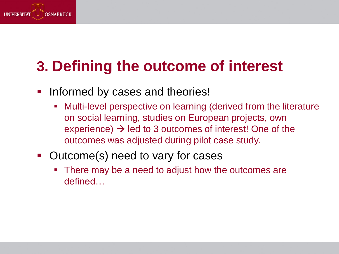

# **3. Defining the outcome of interest**

- **Informed by cases and theories!** 
	- Multi-level perspective on learning (derived from the literature on social learning, studies on European projects, own experience)  $\rightarrow$  led to 3 outcomes of interest! One of the outcomes was adjusted during pilot case study.
- **-** Outcome(s) need to vary for cases
	- There may be a need to adjust how the outcomes are defined…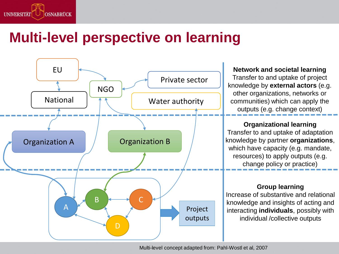

#### **Multi-level perspective on learning**



**Network and societal learning** Transfer to and uptake of project knowledge by **external actors** (e.g. other organizations, networks or communities) which can apply the outputs (e.g. change context)

#### **Organizational learning**

Transfer to and uptake of adaptation knowledge by partner **organizations**, which have capacity (e.g. mandate, resources) to apply outputs (e.g. change policy or practice)

#### **Group learning**

Increase of substantive and relational knowledge and insights of acting and interacting **individuals**, possibly with individual /collective outputs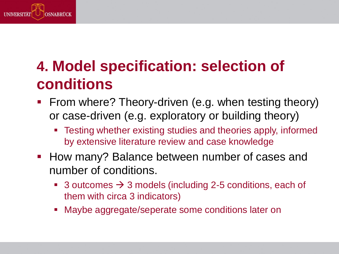

# **4. Model specification: selection of conditions**

- **Firm where? Theory-driven (e.g. when testing theory)** or case-driven (e.g. exploratory or building theory)
	- Testing whether existing studies and theories apply, informed by extensive literature review and case knowledge
- How many? Balance between number of cases and number of conditions.
	- 3 outcomes  $\rightarrow$  3 models (including 2-5 conditions, each of them with circa 3 indicators)
	- Maybe aggregate/seperate some conditions later on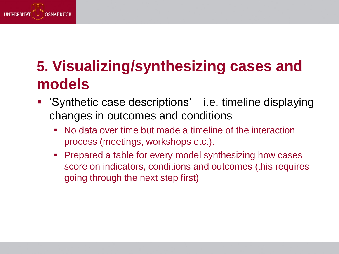

# **5. Visualizing/synthesizing cases and models**

- 'Synthetic case descriptions' i.e. timeline displaying changes in outcomes and conditions
	- No data over time but made a timeline of the interaction process (meetings, workshops etc.).
	- Prepared a table for every model synthesizing how cases score on indicators, conditions and outcomes (this requires going through the next step first)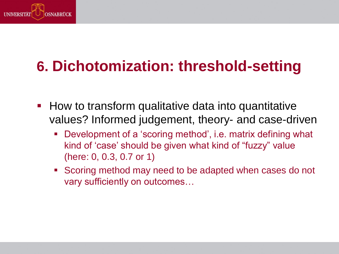

# **6. Dichotomization: threshold-setting**

- $\blacksquare$  How to transform qualitative data into quantitative values? Informed judgement, theory- and case-driven
	- Development of a 'scoring method', i.e. matrix defining what kind of 'case' should be given what kind of "fuzzy" value (here: 0, 0.3, 0.7 or 1)
	- Scoring method may need to be adapted when cases do not vary sufficiently on outcomes…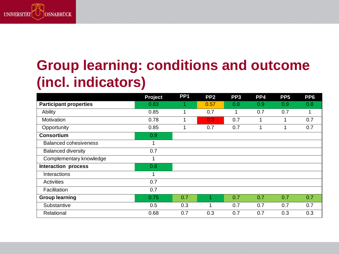

# **Group learning: conditions and outcome (incl. indicators)**

|                               | <b>Project</b> | PP <sub>1</sub> | PP <sub>2</sub>  | PP <sub>3</sub> | PP4 | PP <sub>5</sub> | PP <sub>6</sub> |
|-------------------------------|----------------|-----------------|------------------|-----------------|-----|-----------------|-----------------|
| <b>Participant properties</b> | 0.83           | 1               | 0.57             | 0.8             | 0.9 | 0.9             | 0.8             |
| Ability                       | 0.85           | 1               | 0.7              | 1               | 0.7 | 0.7             | $\mathbf{1}$    |
| Motivation                    | 0.78           |                 | 0.3 <sub>1</sub> | 0.7             | 1   |                 | 0.7             |
| Opportunity                   | 0.85           |                 | 0.7              | 0.7             | 1   |                 | 0.7             |
| <b>Consortium</b>             | 0.9            |                 |                  |                 |     |                 |                 |
| <b>Balanced cohesiveness</b>  | 1              |                 |                  |                 |     |                 |                 |
| <b>Balanced diversity</b>     | 0.7            |                 |                  |                 |     |                 |                 |
| Complementary knowledge       | 1              |                 |                  |                 |     |                 |                 |
| <b>Interaction process</b>    | 0.8            |                 |                  |                 |     |                 |                 |
| Interactions                  | 1              |                 |                  |                 |     |                 |                 |
| Activities                    | 0.7            |                 |                  |                 |     |                 |                 |
| Facilitation                  | 0.7            |                 |                  |                 |     |                 |                 |
| <b>Group learning</b>         | 0.75           | 0.7             |                  | 0.7             | 0.7 | 0.7             | 0.7             |
| Substantive                   | 0.5            | 0.3             | 1                | 0.7             | 0.7 | 0.7             | 0.7             |
| Relational                    | 0.68           | 0.7             | 0.3              | 0.7             | 0.7 | 0.3             | 0.3             |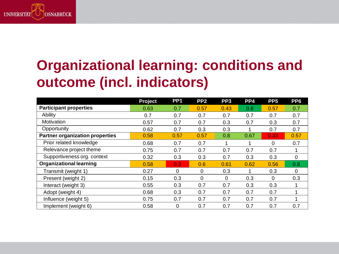

# **Organizational learning: conditions and outcome (incl. indicators)**

|                                        | <b>Project</b> | PP <sub>1</sub> | PP <sub>2</sub> | PP <sub>3</sub> | PP4  | PP <sub>5</sub> | PP <sub>6</sub> |
|----------------------------------------|----------------|-----------------|-----------------|-----------------|------|-----------------|-----------------|
| <b>Participant properties</b>          | 0.63           | 0.7             | 0.57            | 0.43            | 0.8  | 0.57            | 0.7             |
| Ability                                | 0.7            | 0.7             | 0.7             | 0.7             | 0.7  | 0.7             | 0.7             |
| Motivation                             | 0.57           | 0.7             | 0.7             | 0.3             | 0.7  | 0.3             | 0.7             |
| Opportunity                            | 0.62           | 0.7             | 0.3             | 0.3             |      | 0.7             | 0.7             |
| <b>Partner organization properties</b> | 0.58           | 0.57            | 0.57            | 0.8             | 0.67 | 0.33            | 0.57            |
| Prior related knowledge                | 0.68           | 0.7             | 0.7             | 1               |      | $\Omega$        | 0.7             |
| Relevance project theme                | 0.75           | 0.7             | 0.7             | 0.7             | 0.7  | 0.7             | 1               |
| Supportiveness org. context            | 0.32           | 0.3             | 0.3             | 0.7             | 0.3  | 0.3             | $\mathbf 0$     |
| <b>Organizational learning</b>         | 0.58           | 0.3             | 0.6             | 0.61            | 0.62 | 0.56            | 0.8             |
| Transmit (weight 1)                    | 0.27           | $\mathbf 0$     | 0               | 0.3             |      | 0.3             | $\mathbf 0$     |
| Present (weight 2)                     | 0.15           | 0.3             | 0               | 0               | 0.3  | 0               | 0.3             |
| Interact (weight 3)                    | 0.55           | 0.3             | 0.7             | 0.7             | 0.3  | 0.3             | 1               |
| Adopt (weight 4)                       | 0.68           | 0.3             | 0.7             | 0.7             | 0.7  | 0.7             | 1               |
| Influence (weight 5)                   | 0.75           | 0.7             | 0.7             | 0.7             | 0.7  | 0.7             | 1               |
| Implement (weight 6)                   | 0.58           | 0               | 0.7             | 0.7             | 0.7  | 0.7             | 0.7             |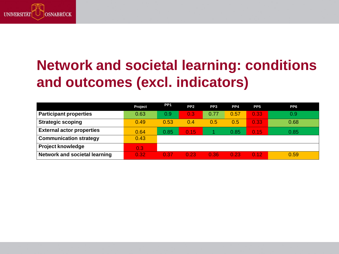

# **Network and societal learning: conditions and outcomes (excl. indicators)**

|                                      | Project          | PP <sub>1</sub> | PP <sub>2</sub> | PP <sub>3</sub> | PP4  | PP <sub>5</sub> | PP <sub>6</sub> |
|--------------------------------------|------------------|-----------------|-----------------|-----------------|------|-----------------|-----------------|
| <b>Participant properties</b>        | 0.63             | 0.9             | 0.3             | 0.77            | 0.57 | 0.33            | 0.9             |
| <b>Strategic scoping</b>             | 0.49             | 0.53            | 0.4             | 0.5             | 0.5  | 0.33            | 0.68            |
| <b>External actor properties</b>     | 0.64             | 0.85            | 0.15            |                 | 0.85 | 0.15            | 0.85            |
| <b>Communication strategy</b>        | 0.43             |                 |                 |                 |      |                 |                 |
| <b>Project knowledge</b>             | 0.3 <sub>1</sub> |                 |                 |                 |      |                 |                 |
| <b>Network and societal learning</b> | 0.32             | 0.37            | 0.23            | 0.36            | 0.23 | 0.12            | 0.59            |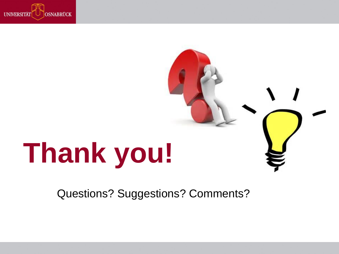

# **Thank you!**

Questions? Suggestions? Comments?